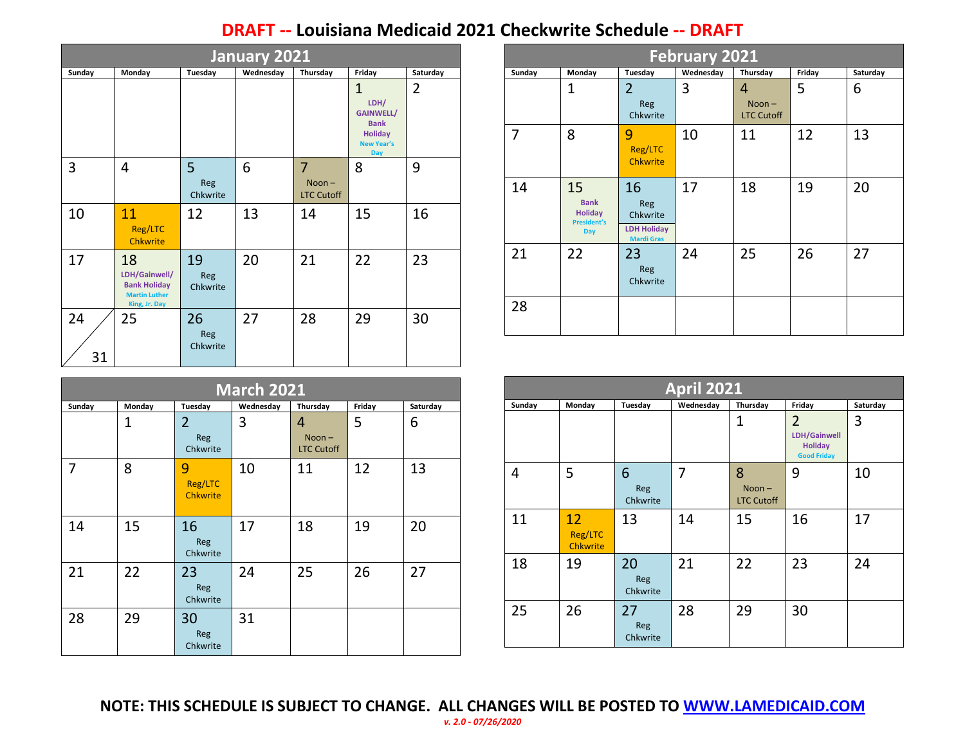## **DRAFT -- Louisiana Medicaid 2021 Checkwrite Schedule -- DRAFT**

| <b>January 2021</b> |                                                                                     |                                                        |    |                                                 |                                                                                                              |                |  |  |  |  |
|---------------------|-------------------------------------------------------------------------------------|--------------------------------------------------------|----|-------------------------------------------------|--------------------------------------------------------------------------------------------------------------|----------------|--|--|--|--|
| Sunday              | Monday                                                                              | Tuesday<br>Wednesday<br>Thursday<br>Friday<br>Saturday |    |                                                 |                                                                                                              |                |  |  |  |  |
|                     |                                                                                     |                                                        |    |                                                 | $\mathbf{1}$<br>LDH/<br><b>GAINWELL/</b><br><b>Bank</b><br><b>Holiday</b><br><b>New Year's</b><br><b>Day</b> | $\overline{2}$ |  |  |  |  |
| 3                   | 4                                                                                   | 5<br>Reg<br>Chkwrite                                   | 6  | $\overline{7}$<br>$Noon -$<br><b>LTC Cutoff</b> | 8                                                                                                            | 9              |  |  |  |  |
| 10                  | 11<br>Reg/LTC<br><b>Chkwrite</b>                                                    | 12                                                     | 13 | 14                                              | 15                                                                                                           | 16             |  |  |  |  |
| 17                  | 18<br>LDH/Gainwell/<br><b>Bank Holiday</b><br><b>Martin Luther</b><br>King, Jr. Day | 19<br>Reg<br>Chkwrite                                  | 20 | 21                                              | 22                                                                                                           | 23             |  |  |  |  |
| 24<br>31            | 25                                                                                  | 26<br>Reg<br>Chkwrite                                  | 27 | 28                                              | 29                                                                                                           | 30             |  |  |  |  |

| <b>March 2021</b> |                |                                   |           |                                    |        |          |  |  |
|-------------------|----------------|-----------------------------------|-----------|------------------------------------|--------|----------|--|--|
| Sunday            | Monday         | Tuesday                           | Wednesday | Thursday                           | Friday | Saturday |  |  |
|                   | $\overline{1}$ | $\overline{2}$<br>Reg<br>Chkwrite | 3         | 4<br>$Noon -$<br><b>LTC Cutoff</b> | 5      | 6        |  |  |
| 7                 | 8              | 9<br>Reg/LTC<br><b>Chkwrite</b>   | 10        | 11                                 | 12     | 13       |  |  |
| 14                | 15             | 16<br>Reg<br>Chkwrite             | 17        | 18                                 | 19     | 20       |  |  |
| 21                | 22             | 23<br>Reg<br>Chkwrite             | 24        | 25                                 | 26     | 27       |  |  |
| 28                | 29             | 30<br>Reg<br>Chkwrite             | 31        |                                    |        |          |  |  |

| <b>February 2021</b> |                                                                         |                                                                         |           |                                    |        |          |  |  |
|----------------------|-------------------------------------------------------------------------|-------------------------------------------------------------------------|-----------|------------------------------------|--------|----------|--|--|
| Sunday               | Monday                                                                  | Tuesday                                                                 | Wednesday | Thursday                           | Friday | Saturday |  |  |
|                      | 1                                                                       | $\overline{2}$<br>Reg<br>Chkwrite                                       | 3         | 4<br>$Noon -$<br><b>LTC Cutoff</b> | 5      | 6        |  |  |
| 7                    | 8                                                                       | 9<br>Reg/LTC<br><b>Chkwrite</b>                                         | 10        | 11                                 | 12     | 13       |  |  |
| 14                   | 15<br><b>Bank</b><br><b>Holiday</b><br><b>President's</b><br><b>Day</b> | 16<br><b>Reg</b><br>Chkwrite<br><b>LDH Holiday</b><br><b>Mardi Gras</b> | 17        | 18                                 | 19     | 20       |  |  |
| 21                   | 22                                                                      | 23<br><b>Reg</b><br>Chkwrite                                            | 24        | 25                                 | 26     | 27       |  |  |
| 28                   |                                                                         |                                                                         |           |                                    |        |          |  |  |

|        | <b>April 2021</b>                |                       |                |                                    |                                                                        |          |  |  |
|--------|----------------------------------|-----------------------|----------------|------------------------------------|------------------------------------------------------------------------|----------|--|--|
| Sunday | Monday                           | Tuesday               | Wednesday      | Thursday                           | Friday                                                                 | Saturday |  |  |
|        |                                  |                       |                | 1                                  | $\overline{2}$<br>LDH/Gainwell<br><b>Holiday</b><br><b>Good Friday</b> | 3        |  |  |
| 4      | 5                                | 6<br>Reg<br>Chkwrite  | $\overline{7}$ | 8<br>$Noon -$<br><b>LTC Cutoff</b> | 9                                                                      | 10       |  |  |
| 11     | 12<br>Reg/LTC<br><b>Chkwrite</b> | 13                    | 14             | 15                                 | 16                                                                     | 17       |  |  |
| 18     | 19                               | 20<br>Reg<br>Chkwrite | 21             | 22                                 | 23                                                                     | 24       |  |  |
| 25     | 26                               | 27<br>Reg<br>Chkwrite | 28             | 29                                 | 30                                                                     |          |  |  |

**NOTE: THIS SCHEDULE IS SUBJECT TO CHANGE. ALL CHANGES WILL BE POSTED TO [WWW.LAMEDICAID.COM](http://www.lamedicaid.com/)** *v. 2.0 - 07/26/2020*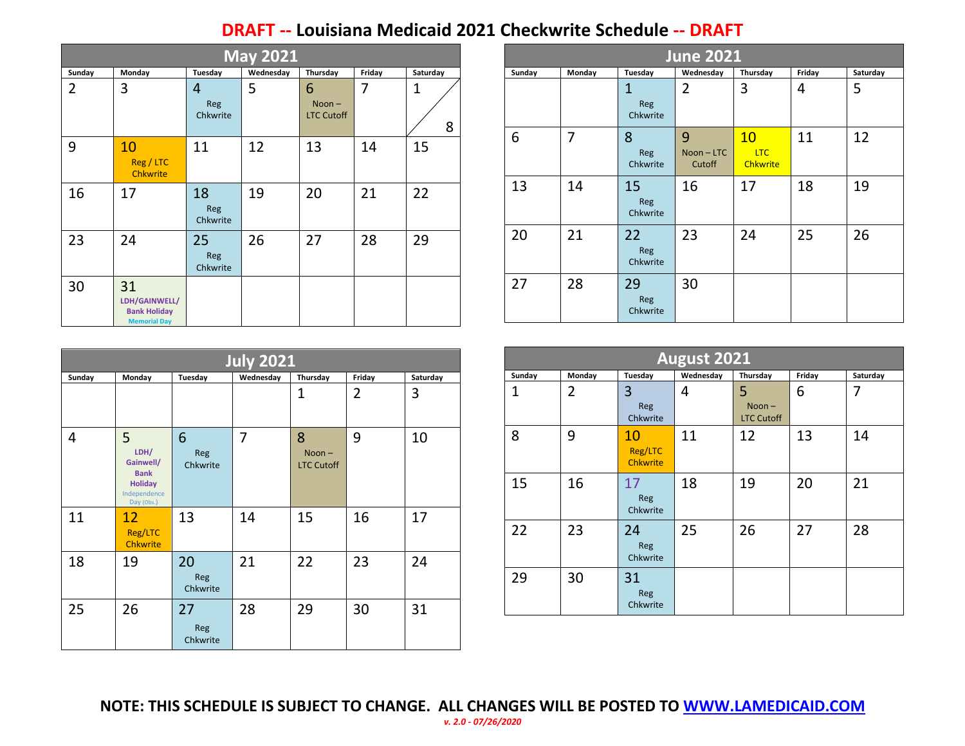## **DRAFT -- Louisiana Medicaid 2021 Checkwrite Schedule -- DRAFT**

| <b>May 2021</b> |                                                                   |                                                        |    |                                    |    |                     |  |  |  |  |
|-----------------|-------------------------------------------------------------------|--------------------------------------------------------|----|------------------------------------|----|---------------------|--|--|--|--|
| Sunday          | Monday                                                            | Tuesday<br>Wednesday<br>Thursday<br>Saturday<br>Friday |    |                                    |    |                     |  |  |  |  |
| $\overline{2}$  | 3                                                                 | 4<br>Reg<br>Chkwrite                                   | 5  | 6<br>$Noon -$<br><b>LTC Cutoff</b> | 7  | $\overline{1}$<br>8 |  |  |  |  |
| 9               | 10<br>Reg / LTC<br><b>Chkwrite</b>                                | 11                                                     | 12 | 13                                 | 14 | 15                  |  |  |  |  |
| 16              | 17                                                                | 18<br>Reg<br>Chkwrite                                  | 19 | 20                                 | 21 | 22                  |  |  |  |  |
| 23              | 24                                                                | 25<br>Reg<br>Chkwrite                                  | 26 | 27                                 | 28 | 29                  |  |  |  |  |
| 30              | 31<br>LDH/GAINWELL/<br><b>Bank Holiday</b><br><b>Memorial Day</b> |                                                        |    |                                    |    |                     |  |  |  |  |

| June 2021 |        |                              |                         |                                     |        |          |  |
|-----------|--------|------------------------------|-------------------------|-------------------------------------|--------|----------|--|
| Sunday    | Monday | Tuesday                      | Wednesday               | Thursday                            | Friday | Saturday |  |
|           |        | 1<br>Reg<br>Chkwrite         | $\overline{2}$          | 3                                   | 4      | 5        |  |
| 6         | 7      | 8<br>Reg<br>Chkwrite         | 9<br>Noon-LTC<br>Cutoff | 10<br><b>LTC</b><br><b>Chkwrite</b> | 11     | 12       |  |
| 13        | 14     | 15<br>Reg<br>Chkwrite        | 16                      | 17                                  | 18     | 19       |  |
| 20        | 21     | 22<br><b>Reg</b><br>Chkwrite | 23                      | 24                                  | 25     | 26       |  |
| 27        | 28     | 29<br><b>Reg</b><br>Chkwrite | 30                      |                                     |        |          |  |

| <b>July 2021</b> |                                                                                       |                       |           |                                    |        |          |  |  |
|------------------|---------------------------------------------------------------------------------------|-----------------------|-----------|------------------------------------|--------|----------|--|--|
| Sunday           | Monday                                                                                | Tuesday               | Wednesday | Thursday                           | Friday | Saturday |  |  |
|                  |                                                                                       |                       |           | 1                                  | 2      | 3        |  |  |
| 4                | 5<br>LDH/<br>Gainwell/<br><b>Bank</b><br><b>Holiday</b><br>Independence<br>Day (Obs.) | 6<br>Reg<br>Chkwrite  | 7         | 8<br>$Noon -$<br><b>LTC Cutoff</b> | 9      | 10       |  |  |
| 11               | 12<br>Reg/LTC<br><b>Chkwrite</b>                                                      | 13                    | 14        | 15                                 | 16     | 17       |  |  |
| 18               | 19                                                                                    | 20<br>Reg<br>Chkwrite | 21        | 22                                 | 23     | 24       |  |  |
| 25               | 26                                                                                    | 27<br>Reg<br>Chkwrite | 28        | 29                                 | 30     | 31       |  |  |

| August 2021  |                                                                  |                                  |    |                                    |    |    |  |  |
|--------------|------------------------------------------------------------------|----------------------------------|----|------------------------------------|----|----|--|--|
| Sunday       | Wednesday<br>Thursday<br>Monday<br>Tuesday<br>Friday<br>Saturday |                                  |    |                                    |    |    |  |  |
| $\mathbf{1}$ | $\overline{2}$                                                   | 3<br>Reg<br>Chkwrite             | 4  | 5<br>$Noon -$<br><b>LTC Cutoff</b> | 6  | 7  |  |  |
| 8            | 9                                                                | 10<br>Reg/LTC<br><b>Chkwrite</b> | 11 | 12                                 | 13 | 14 |  |  |
| 15           | 16                                                               | 17<br>Reg<br>Chkwrite            | 18 | 19                                 | 20 | 21 |  |  |
| 22           | 23                                                               | 24<br>Reg<br>Chkwrite            | 25 | 26                                 | 27 | 28 |  |  |
| 29           | 30                                                               | 31<br>Reg<br>Chkwrite            |    |                                    |    |    |  |  |

**NOTE: THIS SCHEDULE IS SUBJECT TO CHANGE. ALL CHANGES WILL BE POSTED TO [WWW.LAMEDICAID.COM](http://www.lamedicaid.com/)** *v. 2.0 - 07/26/2020*